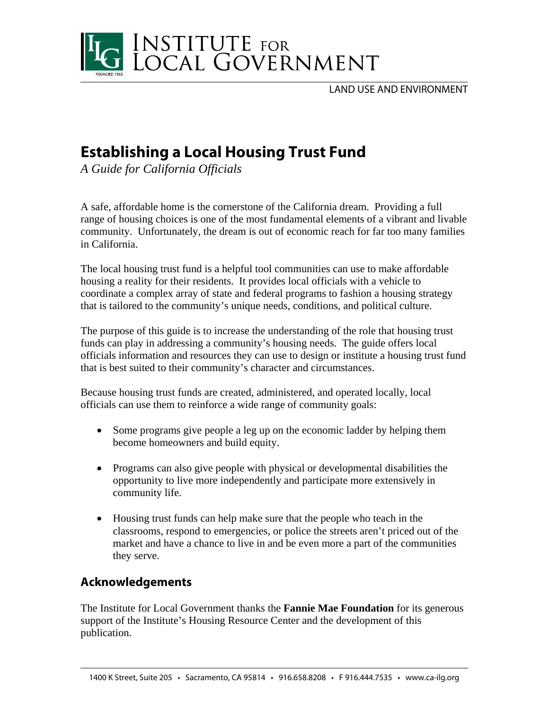

LAND USE AND ENVIRONMENT

# **Establishing a Local Housing Trust Fund**

*A Guide for California Officials* 

A safe, affordable home is the cornerstone of the California dream. Providing a full range of housing choices is one of the most fundamental elements of a vibrant and livable community. Unfortunately, the dream is out of economic reach for far too many families in California.

The local housing trust fund is a helpful tool communities can use to make affordable housing a reality for their residents. It provides local officials with a vehicle to coordinate a complex array of state and federal programs to fashion a housing strategy that is tailored to the community's unique needs, conditions, and political culture.

The purpose of this guide is to increase the understanding of the role that housing trust funds can play in addressing a community's housing needs. The guide offers local officials information and resources they can use to design or institute a housing trust fund that is best suited to their community's character and circumstances.

Because housing trust funds are created, administered, and operated locally, local officials can use them to reinforce a wide range of community goals:

- Some programs give people a leg up on the economic ladder by helping them become homeowners and build equity.
- Programs can also give people with physical or developmental disabilities the opportunity to live more independently and participate more extensively in community life.
- Housing trust funds can help make sure that the people who teach in the classrooms, respond to emergencies, or police the streets aren't priced out of the market and have a chance to live in and be even more a part of the communities they serve.

## **Acknowledgements**

The Institute for Local Government thanks the **Fannie Mae Foundation** for its generous support of the Institute's Housing Resource Center and the development of this publication.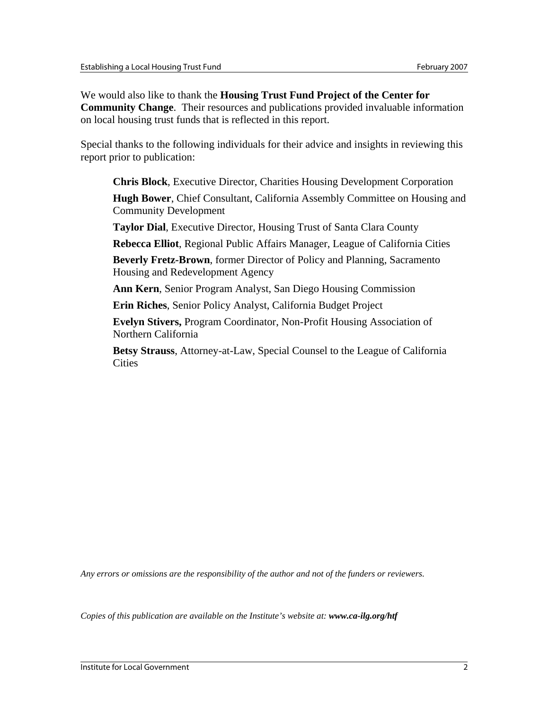We would also like to thank the **Housing Trust Fund Project of the Center for Community Change**. Their resources and publications provided invaluable information on local housing trust funds that is reflected in this report.

Special thanks to the following individuals for their advice and insights in reviewing this report prior to publication:

**Chris Block**, Executive Director, Charities Housing Development Corporation **Hugh Bower**, Chief Consultant, California Assembly Committee on Housing and Community Development

**Taylor Dial**, Executive Director, Housing Trust of Santa Clara County

**Rebecca Elliot**, Regional Public Affairs Manager, League of California Cities

**Beverly Fretz-Brown**, former Director of Policy and Planning, Sacramento Housing and Redevelopment Agency

**Ann Kern**, Senior Program Analyst, San Diego Housing Commission

**Erin Riches**, Senior Policy Analyst, California Budget Project

**Evelyn Stivers,** Program Coordinator, Non-Profit Housing Association of Northern California

**Betsy Strauss**, Attorney-at-Law, Special Counsel to the League of California **Cities** 

*Any errors or omissions are the responsibility of the author and not of the funders or reviewers.* 

*Copies of this publication are available on the Institute's website at: www.ca-ilg.org/htf*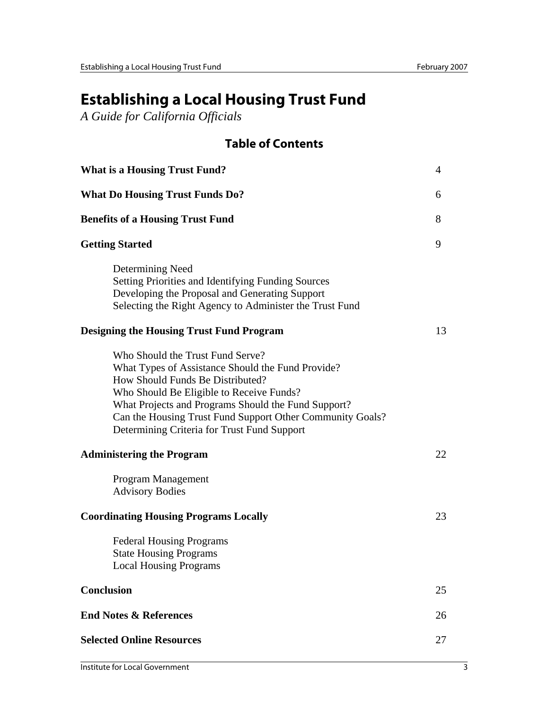# **Establishing a Local Housing Trust Fund**

*A Guide for California Officials* 

## **Table of Contents**

| <b>What is a Housing Trust Fund?</b>                                                                                                                                                                                                                                                                                                     | $\overline{4}$ |
|------------------------------------------------------------------------------------------------------------------------------------------------------------------------------------------------------------------------------------------------------------------------------------------------------------------------------------------|----------------|
| <b>What Do Housing Trust Funds Do?</b>                                                                                                                                                                                                                                                                                                   | 6              |
| <b>Benefits of a Housing Trust Fund</b>                                                                                                                                                                                                                                                                                                  | 8              |
| <b>Getting Started</b>                                                                                                                                                                                                                                                                                                                   | 9              |
| Determining Need<br>Setting Priorities and Identifying Funding Sources<br>Developing the Proposal and Generating Support<br>Selecting the Right Agency to Administer the Trust Fund                                                                                                                                                      |                |
| <b>Designing the Housing Trust Fund Program</b>                                                                                                                                                                                                                                                                                          | 13             |
| Who Should the Trust Fund Serve?<br>What Types of Assistance Should the Fund Provide?<br>How Should Funds Be Distributed?<br>Who Should Be Eligible to Receive Funds?<br>What Projects and Programs Should the Fund Support?<br>Can the Housing Trust Fund Support Other Community Goals?<br>Determining Criteria for Trust Fund Support |                |
| <b>Administering the Program</b>                                                                                                                                                                                                                                                                                                         | 22             |
| Program Management<br><b>Advisory Bodies</b>                                                                                                                                                                                                                                                                                             |                |
| <b>Coordinating Housing Programs Locally</b>                                                                                                                                                                                                                                                                                             | 23             |
| <b>Federal Housing Programs</b><br><b>State Housing Programs</b><br><b>Local Housing Programs</b>                                                                                                                                                                                                                                        |                |
| <b>Conclusion</b>                                                                                                                                                                                                                                                                                                                        | 25             |
| <b>End Notes &amp; References</b>                                                                                                                                                                                                                                                                                                        | 26             |
| <b>Selected Online Resources</b>                                                                                                                                                                                                                                                                                                         | 27             |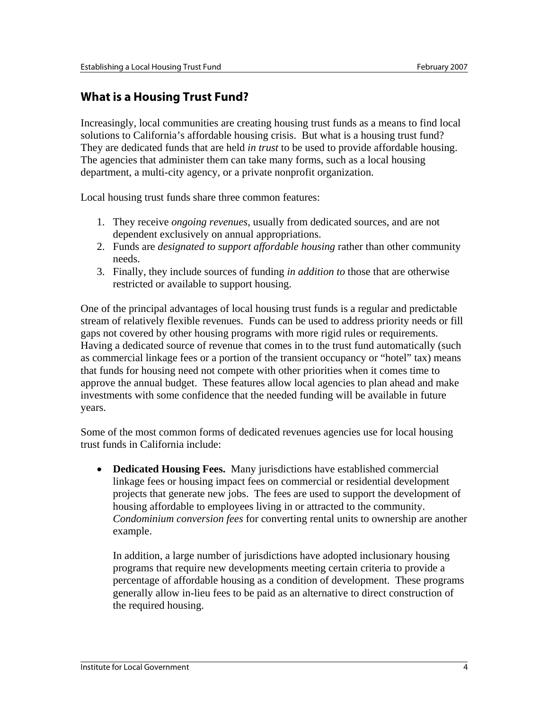## **What is a Housing Trust Fund?**

Increasingly, local communities are creating housing trust funds as a means to find local solutions to California's affordable housing crisis. But what is a housing trust fund? They are dedicated funds that are held *in trust* to be used to provide affordable housing. The agencies that administer them can take many forms, such as a local housing department, a multi-city agency, or a private nonprofit organization.

Local housing trust funds share three common features:

- 1. They receive *ongoing revenues*, usually from dedicated sources, and are not dependent exclusively on annual appropriations.
- 2. Funds are *designated to support affordable housing* rather than other community needs.
- 3. Finally, they include sources of funding *in addition to* those that are otherwise restricted or available to support housing.

One of the principal advantages of local housing trust funds is a regular and predictable stream of relatively flexible revenues. Funds can be used to address priority needs or fill gaps not covered by other housing programs with more rigid rules or requirements. Having a dedicated source of revenue that comes in to the trust fund automatically (such as commercial linkage fees or a portion of the transient occupancy or "hotel" tax) means that funds for housing need not compete with other priorities when it comes time to approve the annual budget. These features allow local agencies to plan ahead and make investments with some confidence that the needed funding will be available in future years.

Some of the most common forms of dedicated revenues agencies use for local housing trust funds in California include:

• **Dedicated Housing Fees.** Many jurisdictions have established commercial linkage fees or housing impact fees on commercial or residential development projects that generate new jobs. The fees are used to support the development of housing affordable to employees living in or attracted to the community. *Condominium conversion fees* for converting rental units to ownership are another example.

In addition, a large number of jurisdictions have adopted inclusionary housing programs that require new developments meeting certain criteria to provide a percentage of affordable housing as a condition of development. These programs generally allow in-lieu fees to be paid as an alternative to direct construction of the required housing.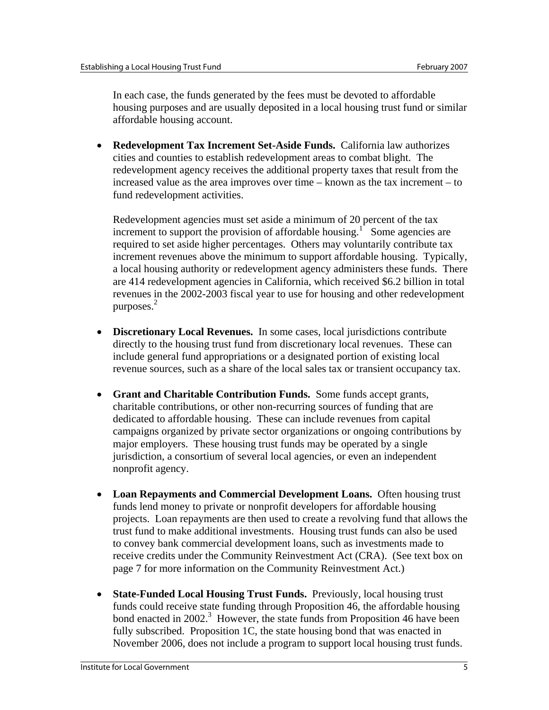In each case, the funds generated by the fees must be devoted to affordable housing purposes and are usually deposited in a local housing trust fund or similar affordable housing account.

• **Redevelopment Tax Increment Set-Aside Funds.** California law authorizes cities and counties to establish redevelopment areas to combat blight. The redevelopment agency receives the additional property taxes that result from the increased value as the area improves over time – known as the tax increment – to fund redevelopment activities.

Redevelopment agencies must set aside a minimum of 20 percent of the tax increment to support the provision of affordable housing.<sup>1</sup> Some agencies are required to set aside higher percentages. Others may voluntarily contribute tax increment revenues above the minimum to support affordable housing. Typically, a local housing authority or redevelopment agency administers these funds. There are 414 redevelopment agencies in California, which received \$6.2 billion in total revenues in the 2002-2003 fiscal year to use for housing and other redevelopment purposes. $2$ 

- **Discretionary Local Revenues.** In some cases, local jurisdictions contribute directly to the housing trust fund from discretionary local revenues. These can include general fund appropriations or a designated portion of existing local revenue sources, such as a share of the local sales tax or transient occupancy tax.
- **Grant and Charitable Contribution Funds.** Some funds accept grants, charitable contributions, or other non-recurring sources of funding that are dedicated to affordable housing. These can include revenues from capital campaigns organized by private sector organizations or ongoing contributions by major employers. These housing trust funds may be operated by a single jurisdiction, a consortium of several local agencies, or even an independent nonprofit agency.
- **Loan Repayments and Commercial Development Loans.** Often housing trust funds lend money to private or nonprofit developers for affordable housing projects. Loan repayments are then used to create a revolving fund that allows the trust fund to make additional investments. Housing trust funds can also be used to convey bank commercial development loans, such as investments made to receive credits under the Community Reinvestment Act (CRA). (See text box on page 7 for more information on the Community Reinvestment Act.)
- **State-Funded Local Housing Trust Funds.** Previously, local housing trust funds could receive state funding through Proposition 46, the affordable housing bond enacted in 2002.<sup>3</sup> However, the state funds from Proposition 46 have been fully subscribed. Proposition 1C, the state housing bond that was enacted in November 2006, does not include a program to support local housing trust funds.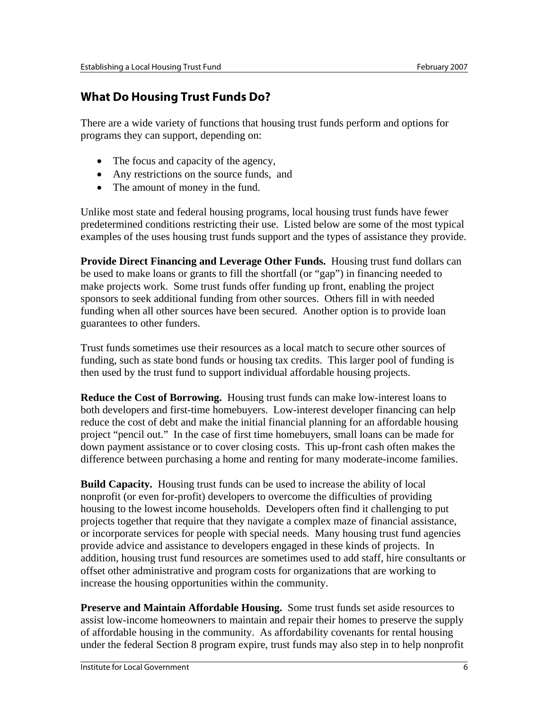## **What Do Housing Trust Funds Do?**

There are a wide variety of functions that housing trust funds perform and options for programs they can support, depending on:

- The focus and capacity of the agency,
- Any restrictions on the source funds, and
- The amount of money in the fund.

Unlike most state and federal housing programs, local housing trust funds have fewer predetermined conditions restricting their use. Listed below are some of the most typical examples of the uses housing trust funds support and the types of assistance they provide.

**Provide Direct Financing and Leverage Other Funds.** Housing trust fund dollars can be used to make loans or grants to fill the shortfall (or "gap") in financing needed to make projects work. Some trust funds offer funding up front, enabling the project sponsors to seek additional funding from other sources. Others fill in with needed funding when all other sources have been secured. Another option is to provide loan guarantees to other funders.

Trust funds sometimes use their resources as a local match to secure other sources of funding, such as state bond funds or housing tax credits. This larger pool of funding is then used by the trust fund to support individual affordable housing projects.

**Reduce the Cost of Borrowing.** Housing trust funds can make low-interest loans to both developers and first-time homebuyers. Low-interest developer financing can help reduce the cost of debt and make the initial financial planning for an affordable housing project "pencil out." In the case of first time homebuyers, small loans can be made for down payment assistance or to cover closing costs. This up-front cash often makes the difference between purchasing a home and renting for many moderate-income families.

**Build Capacity.** Housing trust funds can be used to increase the ability of local nonprofit (or even for-profit) developers to overcome the difficulties of providing housing to the lowest income households. Developers often find it challenging to put projects together that require that they navigate a complex maze of financial assistance, or incorporate services for people with special needs. Many housing trust fund agencies provide advice and assistance to developers engaged in these kinds of projects. In addition, housing trust fund resources are sometimes used to add staff, hire consultants or offset other administrative and program costs for organizations that are working to increase the housing opportunities within the community.

**Preserve and Maintain Affordable Housing.** Some trust funds set aside resources to assist low-income homeowners to maintain and repair their homes to preserve the supply of affordable housing in the community. As affordability covenants for rental housing under the federal Section 8 program expire, trust funds may also step in to help nonprofit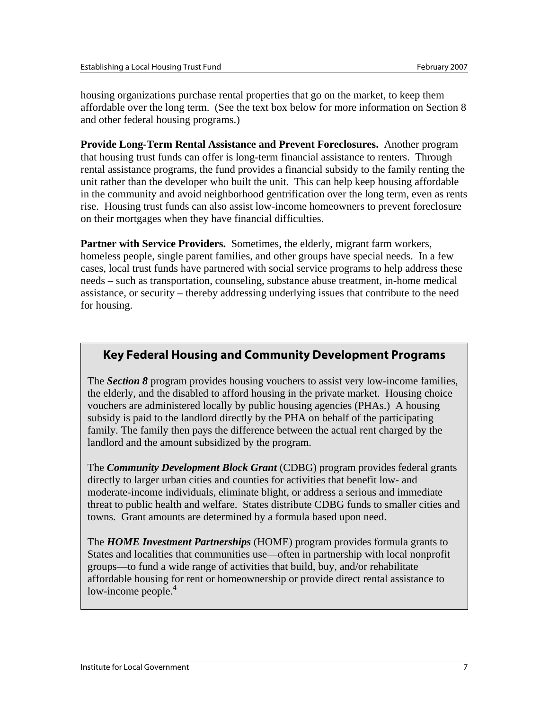housing organizations purchase rental properties that go on the market, to keep them affordable over the long term. (See the text box below for more information on Section 8 and other federal housing programs.)

**Provide Long-Term Rental Assistance and Prevent Foreclosures.** Another program that housing trust funds can offer is long-term financial assistance to renters. Through rental assistance programs, the fund provides a financial subsidy to the family renting the unit rather than the developer who built the unit. This can help keep housing affordable in the community and avoid neighborhood gentrification over the long term, even as rents rise. Housing trust funds can also assist low-income homeowners to prevent foreclosure on their mortgages when they have financial difficulties.

**Partner with Service Providers.** Sometimes, the elderly, migrant farm workers, homeless people, single parent families, and other groups have special needs. In a few cases, local trust funds have partnered with social service programs to help address these needs – such as transportation, counseling, substance abuse treatment, in-home medical assistance, or security – thereby addressing underlying issues that contribute to the need for housing.

## **Key Federal Housing and Community Development Programs**

The *Section 8* program provides housing vouchers to assist very low-income families, the elderly, and the disabled to afford housing in the private market. Housing choice vouchers are administered locally by public housing agencies (PHAs.) A housing subsidy is paid to the landlord directly by the PHA on behalf of the participating family. The family then pays the difference between the actual rent charged by the landlord and the amount subsidized by the program.

The *Community Development Block Grant* (CDBG) program provides federal grants directly to larger urban cities and counties for activities that benefit low- and moderate-income individuals, eliminate blight, or address a serious and immediate threat to public health and welfare. States distribute CDBG funds to smaller cities and towns. Grant amounts are determined by a formula based upon need.

The *HOME Investment Partnerships* (HOME) program provides formula grants to States and localities that communities use—often in partnership with local nonprofit groups—to fund a wide range of activities that build, buy, and/or rehabilitate affordable housing for rent or homeownership or provide direct rental assistance to low-income people.<sup>4</sup>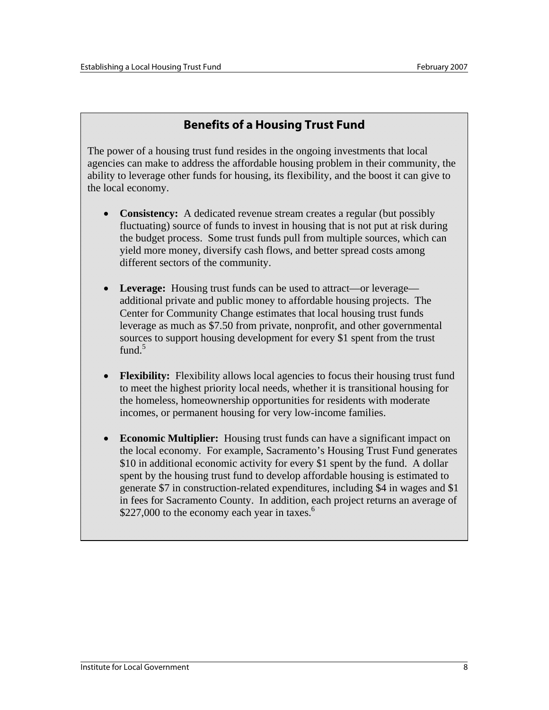## **Benefits of a Housing Trust Fund**

The power of a housing trust fund resides in the ongoing investments that local agencies can make to address the affordable housing problem in their community, the ability to leverage other funds for housing, its flexibility, and the boost it can give to the local economy.

- **Consistency:** A dedicated revenue stream creates a regular (but possibly fluctuating) source of funds to invest in housing that is not put at risk during the budget process. Some trust funds pull from multiple sources, which can yield more money, diversify cash flows, and better spread costs among different sectors of the community.
- **Leverage:** Housing trust funds can be used to attract—or leverage additional private and public money to affordable housing projects. The Center for Community Change estimates that local housing trust funds leverage as much as \$7.50 from private, nonprofit, and other governmental sources to support housing development for every \$1 spent from the trust fund. $5$
- **Flexibility:** Flexibility allows local agencies to focus their housing trust fund to meet the highest priority local needs, whether it is transitional housing for the homeless, homeownership opportunities for residents with moderate incomes, or permanent housing for very low-income families.
- **Economic Multiplier:** Housing trust funds can have a significant impact on the local economy. For example, Sacramento's Housing Trust Fund generates \$10 in additional economic activity for every \$1 spent by the fund. A dollar spent by the housing trust fund to develop affordable housing is estimated to generate \$7 in construction-related expenditures, including \$4 in wages and \$1 in fees for Sacramento County. In addition, each project returns an average of \$227,000 to the economy each year in taxes. $6\overline{6}$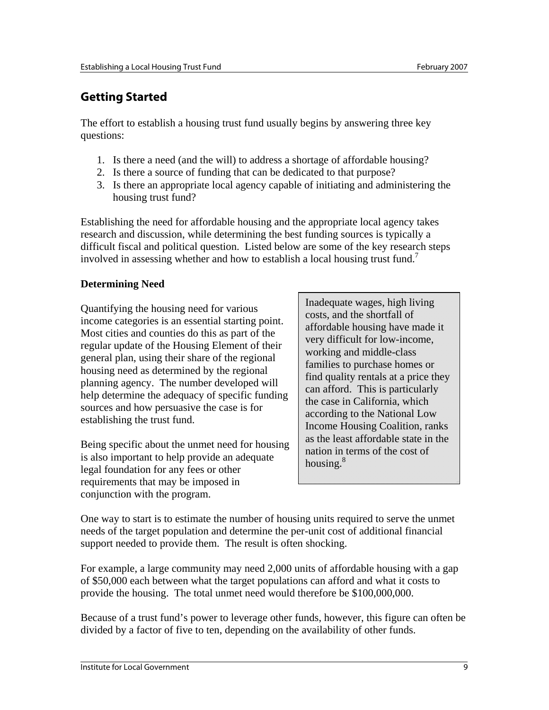## **Getting Started**

The effort to establish a housing trust fund usually begins by answering three key questions:

- 1. Is there a need (and the will) to address a shortage of affordable housing?
- 2. Is there a source of funding that can be dedicated to that purpose?
- 3. Is there an appropriate local agency capable of initiating and administering the housing trust fund?

Establishing the need for affordable housing and the appropriate local agency takes research and discussion, while determining the best funding sources is typically a difficult fiscal and political question. Listed below are some of the key research steps involved in assessing whether and how to establish a local housing trust fund.<sup>7</sup>

## **Determining Need**

Quantifying the housing need for various income categories is an essential starting point. Most cities and counties do this as part of the regular update of the Housing Element of their general plan, using their share of the regional housing need as determined by the regional planning agency. The number developed will help determine the adequacy of specific funding sources and how persuasive the case is for establishing the trust fund.

Being specific about the unmet need for housing is also important to help provide an adequate legal foundation for any fees or other requirements that may be imposed in conjunction with the program.

Inadequate wages, high living costs, and the shortfall of affordable housing have made it very difficult for low-income, working and middle-class families to purchase homes or find quality rentals at a price they can afford. This is particularly the case in California, which according to the National Low Income Housing Coalition, ranks as the least affordable state in the nation in terms of the cost of housing.<sup>8</sup>

One way to start is to estimate the number of housing units required to serve the unmet needs of the target population and determine the per-unit cost of additional financial support needed to provide them. The result is often shocking.

For example, a large community may need 2,000 units of affordable housing with a gap of \$50,000 each between what the target populations can afford and what it costs to provide the housing. The total unmet need would therefore be \$100,000,000.

Because of a trust fund's power to leverage other funds, however, this figure can often be divided by a factor of five to ten, depending on the availability of other funds.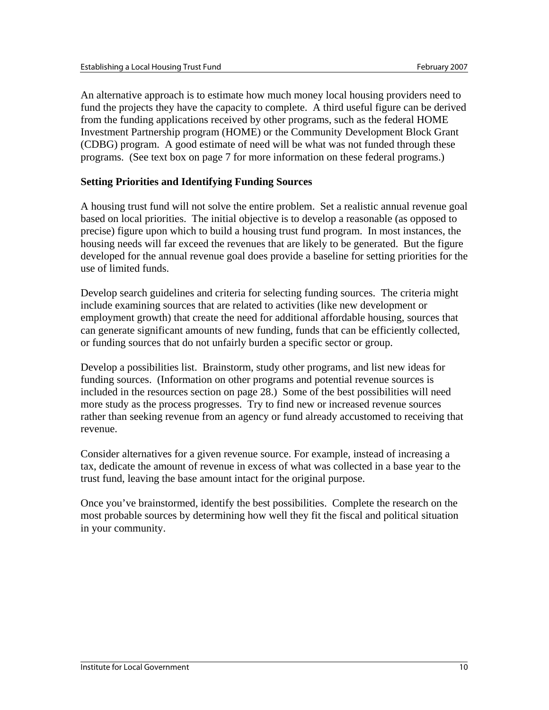An alternative approach is to estimate how much money local housing providers need to fund the projects they have the capacity to complete. A third useful figure can be derived from the funding applications received by other programs, such as the federal HOME Investment Partnership program (HOME) or the Community Development Block Grant (CDBG) program. A good estimate of need will be what was not funded through these programs. (See text box on page 7 for more information on these federal programs.)

### **Setting Priorities and Identifying Funding Sources**

A housing trust fund will not solve the entire problem. Set a realistic annual revenue goal based on local priorities. The initial objective is to develop a reasonable (as opposed to precise) figure upon which to build a housing trust fund program. In most instances, the housing needs will far exceed the revenues that are likely to be generated. But the figure developed for the annual revenue goal does provide a baseline for setting priorities for the use of limited funds.

Develop search guidelines and criteria for selecting funding sources. The criteria might include examining sources that are related to activities (like new development or employment growth) that create the need for additional affordable housing, sources that can generate significant amounts of new funding, funds that can be efficiently collected, or funding sources that do not unfairly burden a specific sector or group.

Develop a possibilities list. Brainstorm, study other programs, and list new ideas for funding sources. (Information on other programs and potential revenue sources is included in the resources section on page 28.) Some of the best possibilities will need more study as the process progresses. Try to find new or increased revenue sources rather than seeking revenue from an agency or fund already accustomed to receiving that revenue.

Consider alternatives for a given revenue source. For example, instead of increasing a tax, dedicate the amount of revenue in excess of what was collected in a base year to the trust fund, leaving the base amount intact for the original purpose.

Once you've brainstormed, identify the best possibilities. Complete the research on the most probable sources by determining how well they fit the fiscal and political situation in your community.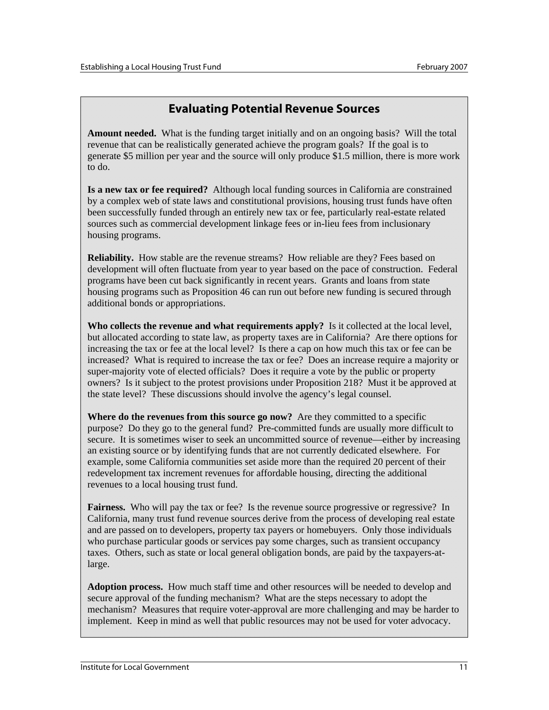## **Evaluating Potential Revenue Sources**

**Amount needed.** What is the funding target initially and on an ongoing basis? Will the total revenue that can be realistically generated achieve the program goals? If the goal is to generate \$5 million per year and the source will only produce \$1.5 million, there is more work to do.

**Is a new tax or fee required?** Although local funding sources in California are constrained by a complex web of state laws and constitutional provisions, housing trust funds have often been successfully funded through an entirely new tax or fee, particularly real-estate related sources such as commercial development linkage fees or in-lieu fees from inclusionary housing programs.

**Reliability.** How stable are the revenue streams? How reliable are they? Fees based on development will often fluctuate from year to year based on the pace of construction. Federal programs have been cut back significantly in recent years. Grants and loans from state housing programs such as Proposition 46 can run out before new funding is secured through additional bonds or appropriations.

**Who collects the revenue and what requirements apply?** Is it collected at the local level, but allocated according to state law, as property taxes are in California? Are there options for increasing the tax or fee at the local level? Is there a cap on how much this tax or fee can be increased? What is required to increase the tax or fee? Does an increase require a majority or super-majority vote of elected officials? Does it require a vote by the public or property owners? Is it subject to the protest provisions under Proposition 218? Must it be approved at the state level? These discussions should involve the agency's legal counsel.

**Where do the revenues from this source go now?** Are they committed to a specific purpose? Do they go to the general fund? Pre-committed funds are usually more difficult to secure. It is sometimes wiser to seek an uncommitted source of revenue—either by increasing an existing source or by identifying funds that are not currently dedicated elsewhere. For example, some California communities set aside more than the required 20 percent of their redevelopment tax increment revenues for affordable housing, directing the additional revenues to a local housing trust fund.

**Fairness.** Who will pay the tax or fee? Is the revenue source progressive or regressive? In California, many trust fund revenue sources derive from the process of developing real estate and are passed on to developers, property tax payers or homebuyers. Only those individuals who purchase particular goods or services pay some charges, such as transient occupancy taxes. Others, such as state or local general obligation bonds, are paid by the taxpayers-atlarge.

**Adoption process.** How much staff time and other resources will be needed to develop and secure approval of the funding mechanism? What are the steps necessary to adopt the mechanism? Measures that require voter-approval are more challenging and may be harder to implement. Keep in mind as well that public resources may not be used for voter advocacy.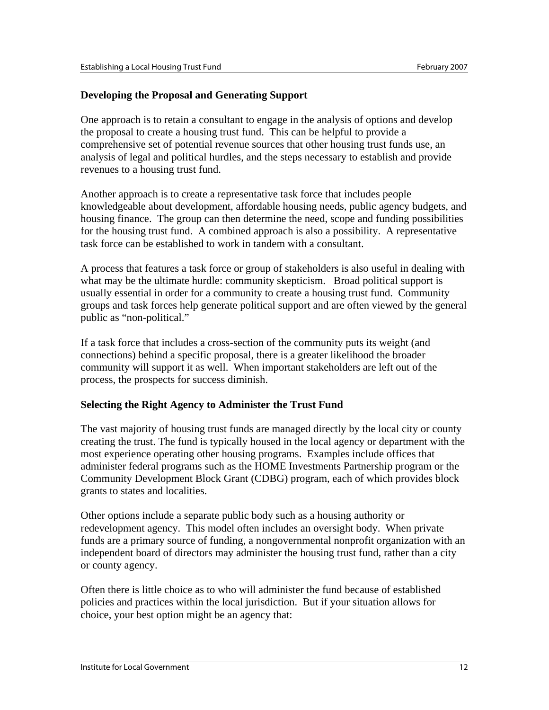### **Developing the Proposal and Generating Support**

One approach is to retain a consultant to engage in the analysis of options and develop the proposal to create a housing trust fund. This can be helpful to provide a comprehensive set of potential revenue sources that other housing trust funds use, an analysis of legal and political hurdles, and the steps necessary to establish and provide revenues to a housing trust fund.

Another approach is to create a representative task force that includes people knowledgeable about development, affordable housing needs, public agency budgets, and housing finance. The group can then determine the need, scope and funding possibilities for the housing trust fund. A combined approach is also a possibility. A representative task force can be established to work in tandem with a consultant.

A process that features a task force or group of stakeholders is also useful in dealing with what may be the ultimate hurdle: community skepticism. Broad political support is usually essential in order for a community to create a housing trust fund. Community groups and task forces help generate political support and are often viewed by the general public as "non-political."

If a task force that includes a cross-section of the community puts its weight (and connections) behind a specific proposal, there is a greater likelihood the broader community will support it as well. When important stakeholders are left out of the process, the prospects for success diminish.

### **Selecting the Right Agency to Administer the Trust Fund**

The vast majority of housing trust funds are managed directly by the local city or county creating the trust. The fund is typically housed in the local agency or department with the most experience operating other housing programs. Examples include offices that administer federal programs such as the HOME Investments Partnership program or the Community Development Block Grant (CDBG) program, each of which provides block grants to states and localities.

Other options include a separate public body such as a housing authority or redevelopment agency. This model often includes an oversight body. When private funds are a primary source of funding, a nongovernmental nonprofit organization with an independent board of directors may administer the housing trust fund, rather than a city or county agency.

Often there is little choice as to who will administer the fund because of established policies and practices within the local jurisdiction. But if your situation allows for choice, your best option might be an agency that: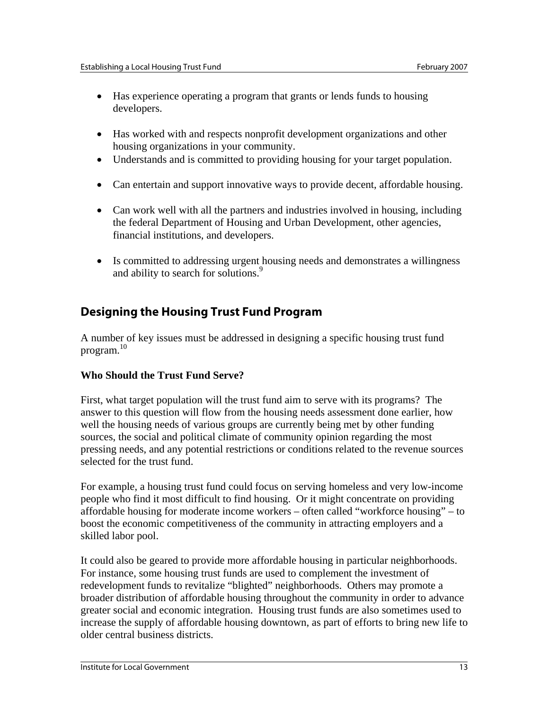- Has experience operating a program that grants or lends funds to housing developers.
- Has worked with and respects nonprofit development organizations and other housing organizations in your community.
- Understands and is committed to providing housing for your target population.
- Can entertain and support innovative ways to provide decent, affordable housing.
- Can work well with all the partners and industries involved in housing, including the federal Department of Housing and Urban Development, other agencies, financial institutions, and developers.
- Is committed to addressing urgent housing needs and demonstrates a willingness and ability to search for solutions.<sup>9</sup>

## **Designing the Housing Trust Fund Program**

A number of key issues must be addressed in designing a specific housing trust fund program. $10$ 

## **Who Should the Trust Fund Serve?**

First, what target population will the trust fund aim to serve with its programs? The answer to this question will flow from the housing needs assessment done earlier, how well the housing needs of various groups are currently being met by other funding sources, the social and political climate of community opinion regarding the most pressing needs, and any potential restrictions or conditions related to the revenue sources selected for the trust fund.

For example, a housing trust fund could focus on serving homeless and very low-income people who find it most difficult to find housing. Or it might concentrate on providing affordable housing for moderate income workers – often called "workforce housing" – to boost the economic competitiveness of the community in attracting employers and a skilled labor pool.

It could also be geared to provide more affordable housing in particular neighborhoods. For instance, some housing trust funds are used to complement the investment of redevelopment funds to revitalize "blighted" neighborhoods. Others may promote a broader distribution of affordable housing throughout the community in order to advance greater social and economic integration. Housing trust funds are also sometimes used to increase the supply of affordable housing downtown, as part of efforts to bring new life to older central business districts.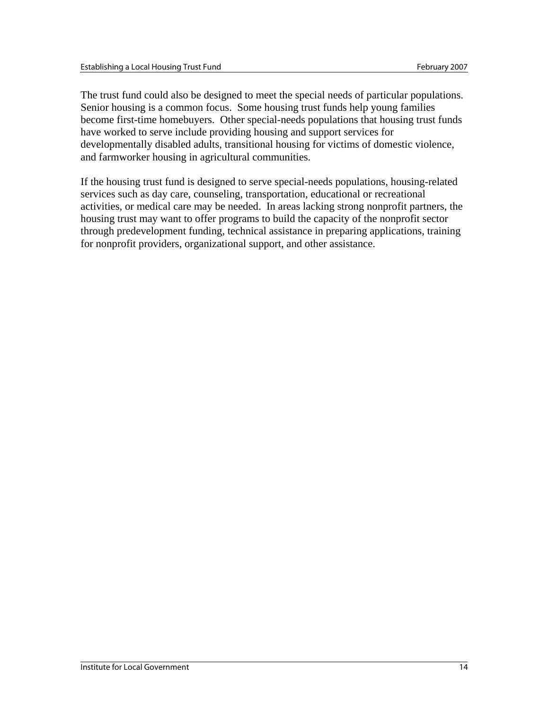The trust fund could also be designed to meet the special needs of particular populations. Senior housing is a common focus. Some housing trust funds help young families become first-time homebuyers. Other special-needs populations that housing trust funds have worked to serve include providing housing and support services for developmentally disabled adults, transitional housing for victims of domestic violence, and farmworker housing in agricultural communities.

If the housing trust fund is designed to serve special-needs populations, housing-related services such as day care, counseling, transportation, educational or recreational activities, or medical care may be needed. In areas lacking strong nonprofit partners, the housing trust may want to offer programs to build the capacity of the nonprofit sector through predevelopment funding, technical assistance in preparing applications, training for nonprofit providers, organizational support, and other assistance.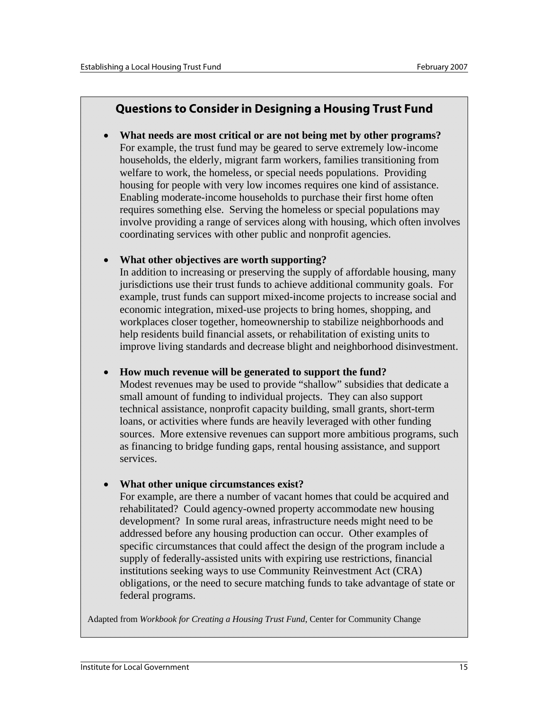## **Questions to Consider in Designing a Housing Trust Fund**

• **What needs are most critical or are not being met by other programs?**  For example, the trust fund may be geared to serve extremely low-income households, the elderly, migrant farm workers, families transitioning from welfare to work, the homeless, or special needs populations. Providing housing for people with very low incomes requires one kind of assistance. Enabling moderate-income households to purchase their first home often requires something else. Serving the homeless or special populations may involve providing a range of services along with housing, which often involves coordinating services with other public and nonprofit agencies.

### • **What other objectives are worth supporting?**

In addition to increasing or preserving the supply of affordable housing, many jurisdictions use their trust funds to achieve additional community goals. For example, trust funds can support mixed-income projects to increase social and economic integration, mixed-use projects to bring homes, shopping, and workplaces closer together, homeownership to stabilize neighborhoods and help residents build financial assets, or rehabilitation of existing units to improve living standards and decrease blight and neighborhood disinvestment.

### • **How much revenue will be generated to support the fund?**

Modest revenues may be used to provide "shallow" subsidies that dedicate a small amount of funding to individual projects. They can also support technical assistance, nonprofit capacity building, small grants, short-term loans, or activities where funds are heavily leveraged with other funding sources. More extensive revenues can support more ambitious programs, such as financing to bridge funding gaps, rental housing assistance, and support services.

### • **What other unique circumstances exist?**

For example, are there a number of vacant homes that could be acquired and rehabilitated? Could agency-owned property accommodate new housing development? In some rural areas, infrastructure needs might need to be addressed before any housing production can occur. Other examples of specific circumstances that could affect the design of the program include a supply of federally-assisted units with expiring use restrictions, financial institutions seeking ways to use Community Reinvestment Act (CRA) obligations, or the need to secure matching funds to take advantage of state or federal programs.

Adapted from *Workbook for Creating a Housing Trust Fund*, Center for Community Change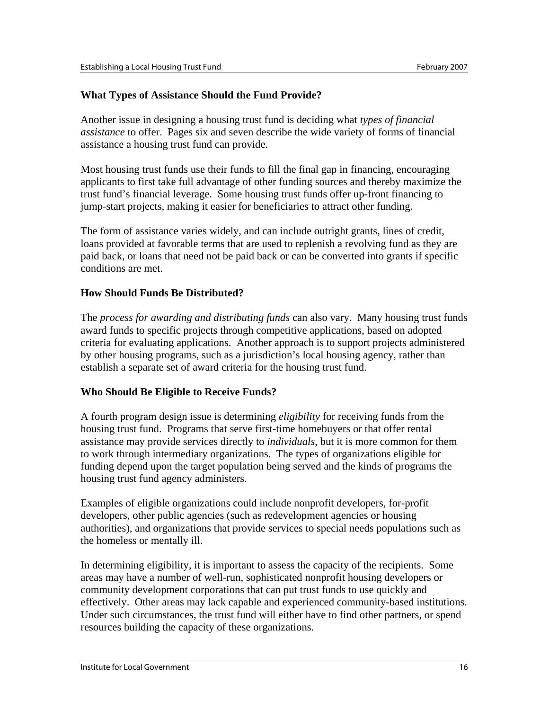### **What Types of Assistance Should the Fund Provide?**

Another issue in designing a housing trust fund is deciding what *types of financial assistance* to offer. Pages six and seven describe the wide variety of forms of financial assistance a housing trust fund can provide.

Most housing trust funds use their funds to fill the final gap in financing, encouraging applicants to first take full advantage of other funding sources and thereby maximize the trust fund's financial leverage. Some housing trust funds offer up-front financing to jump-start projects, making it easier for beneficiaries to attract other funding.

The form of assistance varies widely, and can include outright grants, lines of credit, loans provided at favorable terms that are used to replenish a revolving fund as they are paid back, or loans that need not be paid back or can be converted into grants if specific conditions are met.

### **How Should Funds Be Distributed?**

The *process for awarding and distributing funds* can also vary. Many housing trust funds award funds to specific projects through competitive applications, based on adopted criteria for evaluating applications. Another approach is to support projects administered by other housing programs, such as a jurisdiction's local housing agency, rather than establish a separate set of award criteria for the housing trust fund.

### **Who Should Be Eligible to Receive Funds?**

A fourth program design issue is determining *eligibility* for receiving funds from the housing trust fund. Programs that serve first-time homebuyers or that offer rental assistance may provide services directly to *individuals*, but it is more common for them to work through intermediary organizations. The types of organizations eligible for funding depend upon the target population being served and the kinds of programs the housing trust fund agency administers.

Examples of eligible organizations could include nonprofit developers, for-profit developers, other public agencies (such as redevelopment agencies or housing authorities), and organizations that provide services to special needs populations such as the homeless or mentally ill.

In determining eligibility, it is important to assess the capacity of the recipients. Some areas may have a number of well-run, sophisticated nonprofit housing developers or community development corporations that can put trust funds to use quickly and effectively. Other areas may lack capable and experienced community-based institutions. Under such circumstances, the trust fund will either have to find other partners, or spend resources building the capacity of these organizations.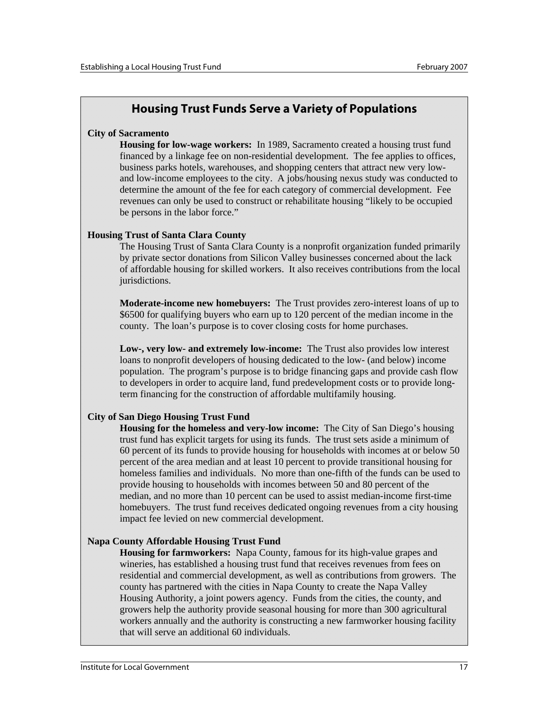## **Housing Trust Funds Serve a Variety of Populations**

#### **City of Sacramento**

**Housing for low-wage workers:** In 1989, Sacramento created a housing trust fund financed by a linkage fee on non-residential development. The fee applies to offices, business parks hotels, warehouses, and shopping centers that attract new very lowand low-income employees to the city. A jobs/housing nexus study was conducted to determine the amount of the fee for each category of commercial development. Fee revenues can only be used to construct or rehabilitate housing "likely to be occupied be persons in the labor force."

#### **Housing Trust of Santa Clara County**

The Housing Trust of Santa Clara County is a nonprofit organization funded primarily by private sector donations from Silicon Valley businesses concerned about the lack of affordable housing for skilled workers. It also receives contributions from the local jurisdictions.

**Moderate-income new homebuyers:** The Trust provides zero-interest loans of up to \$6500 for qualifying buyers who earn up to 120 percent of the median income in the county. The loan's purpose is to cover closing costs for home purchases.

**Low-, very low- and extremely low-income:** The Trust also provides low interest loans to nonprofit developers of housing dedicated to the low- (and below) income population. The program's purpose is to bridge financing gaps and provide cash flow to developers in order to acquire land, fund predevelopment costs or to provide longterm financing for the construction of affordable multifamily housing.

#### **City of San Diego Housing Trust Fund**

**Housing for the homeless and very-low income:** The City of San Diego's housing trust fund has explicit targets for using its funds. The trust sets aside a minimum of 60 percent of its funds to provide housing for households with incomes at or below 50 percent of the area median and at least 10 percent to provide transitional housing for homeless families and individuals. No more than one-fifth of the funds can be used to provide housing to households with incomes between 50 and 80 percent of the median, and no more than 10 percent can be used to assist median-income first-time homebuyers. The trust fund receives dedicated ongoing revenues from a city housing impact fee levied on new commercial development.

#### **Napa County Affordable Housing Trust Fund**

**Housing for farmworkers:** Napa County, famous for its high-value grapes and wineries, has established a housing trust fund that receives revenues from fees on residential and commercial development, as well as contributions from growers. The county has partnered with the cities in Napa County to create the Napa Valley Housing Authority, a joint powers agency. Funds from the cities, the county, and growers help the authority provide seasonal housing for more than 300 agricultural workers annually and the authority is constructing a new farmworker housing facility that will serve an additional 60 individuals.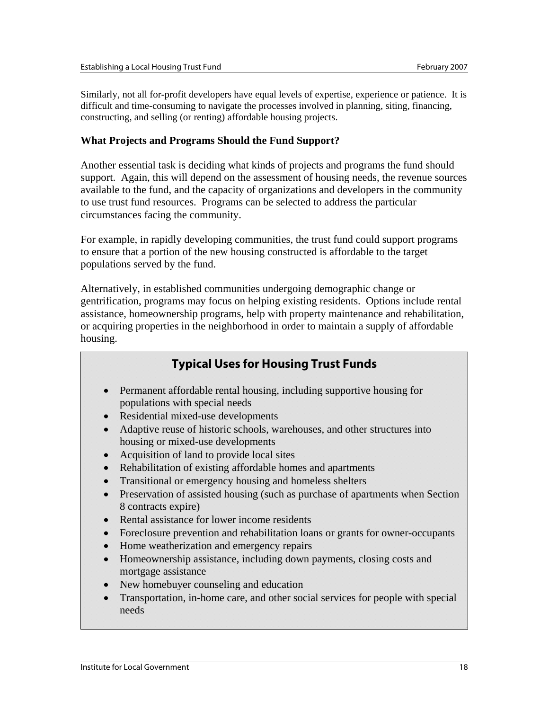Similarly, not all for-profit developers have equal levels of expertise, experience or patience. It is difficult and time-consuming to navigate the processes involved in planning, siting, financing, constructing, and selling (or renting) affordable housing projects.

### **What Projects and Programs Should the Fund Support?**

Another essential task is deciding what kinds of projects and programs the fund should support. Again, this will depend on the assessment of housing needs, the revenue sources available to the fund, and the capacity of organizations and developers in the community to use trust fund resources. Programs can be selected to address the particular circumstances facing the community.

For example, in rapidly developing communities, the trust fund could support programs to ensure that a portion of the new housing constructed is affordable to the target populations served by the fund.

Alternatively, in established communities undergoing demographic change or gentrification, programs may focus on helping existing residents. Options include rental assistance, homeownership programs, help with property maintenance and rehabilitation, or acquiring properties in the neighborhood in order to maintain a supply of affordable housing.

## **Typical Uses for Housing Trust Funds**

- Permanent affordable rental housing, including supportive housing for populations with special needs
- Residential mixed-use developments
- Adaptive reuse of historic schools, warehouses, and other structures into housing or mixed-use developments
- Acquisition of land to provide local sites
- Rehabilitation of existing affordable homes and apartments
- Transitional or emergency housing and homeless shelters
- Preservation of assisted housing (such as purchase of apartments when Section 8 contracts expire)
- Rental assistance for lower income residents
- Foreclosure prevention and rehabilitation loans or grants for owner-occupants
- Home weatherization and emergency repairs
- Homeownership assistance, including down payments, closing costs and mortgage assistance
- New homebuyer counseling and education
- Transportation, in-home care, and other social services for people with special needs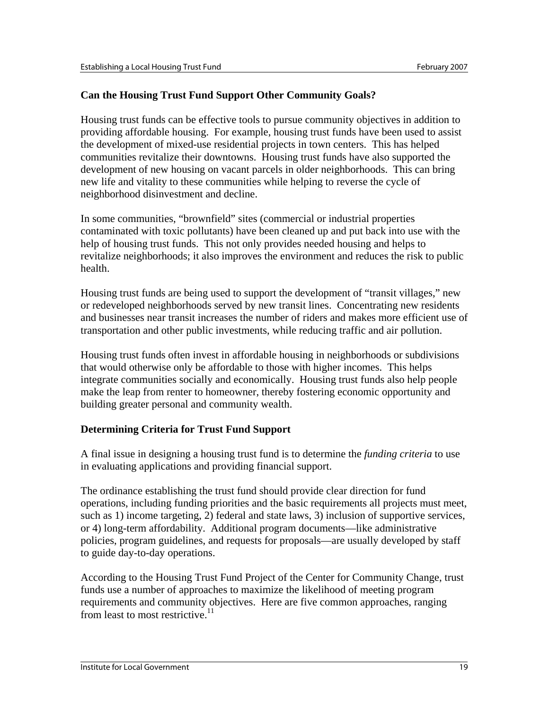## **Can the Housing Trust Fund Support Other Community Goals?**

Housing trust funds can be effective tools to pursue community objectives in addition to providing affordable housing. For example, housing trust funds have been used to assist the development of mixed-use residential projects in town centers. This has helped communities revitalize their downtowns. Housing trust funds have also supported the development of new housing on vacant parcels in older neighborhoods. This can bring new life and vitality to these communities while helping to reverse the cycle of neighborhood disinvestment and decline.

In some communities, "brownfield" sites (commercial or industrial properties contaminated with toxic pollutants) have been cleaned up and put back into use with the help of housing trust funds. This not only provides needed housing and helps to revitalize neighborhoods; it also improves the environment and reduces the risk to public health.

Housing trust funds are being used to support the development of "transit villages," new or redeveloped neighborhoods served by new transit lines. Concentrating new residents and businesses near transit increases the number of riders and makes more efficient use of transportation and other public investments, while reducing traffic and air pollution.

Housing trust funds often invest in affordable housing in neighborhoods or subdivisions that would otherwise only be affordable to those with higher incomes. This helps integrate communities socially and economically. Housing trust funds also help people make the leap from renter to homeowner, thereby fostering economic opportunity and building greater personal and community wealth.

## **Determining Criteria for Trust Fund Support**

A final issue in designing a housing trust fund is to determine the *funding criteria* to use in evaluating applications and providing financial support.

The ordinance establishing the trust fund should provide clear direction for fund operations, including funding priorities and the basic requirements all projects must meet, such as 1) income targeting, 2) federal and state laws, 3) inclusion of supportive services, or 4) long-term affordability. Additional program documents—like administrative policies, program guidelines, and requests for proposals—are usually developed by staff to guide day-to-day operations.

According to the Housing Trust Fund Project of the Center for Community Change, trust funds use a number of approaches to maximize the likelihood of meeting program requirements and community objectives. Here are five common approaches, ranging from least to most restrictive.<sup>11</sup>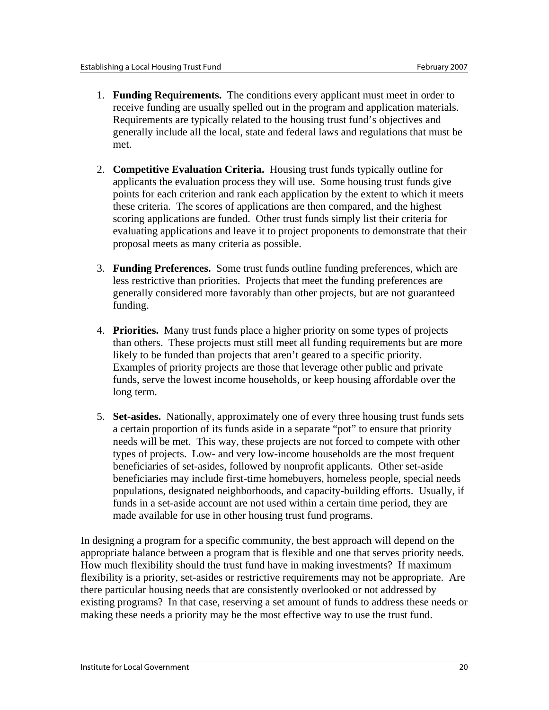- 1. **Funding Requirements.** The conditions every applicant must meet in order to receive funding are usually spelled out in the program and application materials. Requirements are typically related to the housing trust fund's objectives and generally include all the local, state and federal laws and regulations that must be met.
- 2. **Competitive Evaluation Criteria.** Housing trust funds typically outline for applicants the evaluation process they will use. Some housing trust funds give points for each criterion and rank each application by the extent to which it meets these criteria. The scores of applications are then compared, and the highest scoring applications are funded. Other trust funds simply list their criteria for evaluating applications and leave it to project proponents to demonstrate that their proposal meets as many criteria as possible.
- 3. **Funding Preferences.** Some trust funds outline funding preferences, which are less restrictive than priorities. Projects that meet the funding preferences are generally considered more favorably than other projects, but are not guaranteed funding.
- 4. **Priorities.** Many trust funds place a higher priority on some types of projects than others. These projects must still meet all funding requirements but are more likely to be funded than projects that aren't geared to a specific priority. Examples of priority projects are those that leverage other public and private funds, serve the lowest income households, or keep housing affordable over the long term.
- 5. **Set-asides.** Nationally, approximately one of every three housing trust funds sets a certain proportion of its funds aside in a separate "pot" to ensure that priority needs will be met. This way, these projects are not forced to compete with other types of projects. Low- and very low-income households are the most frequent beneficiaries of set-asides, followed by nonprofit applicants. Other set-aside beneficiaries may include first-time homebuyers, homeless people, special needs populations, designated neighborhoods, and capacity-building efforts. Usually, if funds in a set-aside account are not used within a certain time period, they are made available for use in other housing trust fund programs.

In designing a program for a specific community, the best approach will depend on the appropriate balance between a program that is flexible and one that serves priority needs. How much flexibility should the trust fund have in making investments? If maximum flexibility is a priority, set-asides or restrictive requirements may not be appropriate. Are there particular housing needs that are consistently overlooked or not addressed by existing programs? In that case, reserving a set amount of funds to address these needs or making these needs a priority may be the most effective way to use the trust fund.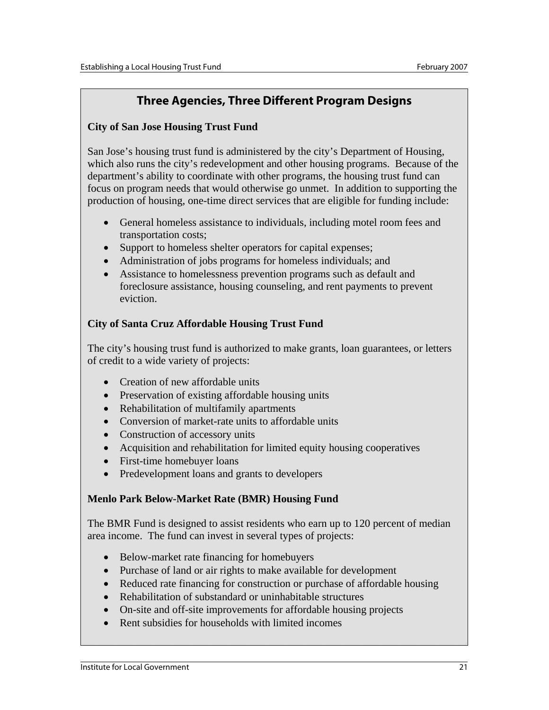## **Three Agencies, Three Different Program Designs**

### **City of San Jose Housing Trust Fund**

San Jose's housing trust fund is administered by the city's Department of Housing, which also runs the city's redevelopment and other housing programs. Because of the department's ability to coordinate with other programs, the housing trust fund can focus on program needs that would otherwise go unmet. In addition to supporting the production of housing, one-time direct services that are eligible for funding include:

- General homeless assistance to individuals, including motel room fees and transportation costs;
- Support to homeless shelter operators for capital expenses;
- Administration of jobs programs for homeless individuals; and
- Assistance to homelessness prevention programs such as default and foreclosure assistance, housing counseling, and rent payments to prevent eviction.

## **City of Santa Cruz Affordable Housing Trust Fund**

The city's housing trust fund is authorized to make grants, loan guarantees, or letters of credit to a wide variety of projects:

- Creation of new affordable units
- Preservation of existing affordable housing units
- Rehabilitation of multifamily apartments
- Conversion of market-rate units to affordable units
- Construction of accessory units
- Acquisition and rehabilitation for limited equity housing cooperatives
- First-time homebuyer loans
- Predevelopment loans and grants to developers

## **Menlo Park Below-Market Rate (BMR) Housing Fund**

The BMR Fund is designed to assist residents who earn up to 120 percent of median area income. The fund can invest in several types of projects:

- Below-market rate financing for homebuyers
- Purchase of land or air rights to make available for development
- Reduced rate financing for construction or purchase of affordable housing
- Rehabilitation of substandard or uninhabitable structures
- On-site and off-site improvements for affordable housing projects
- Rent subsidies for households with limited incomes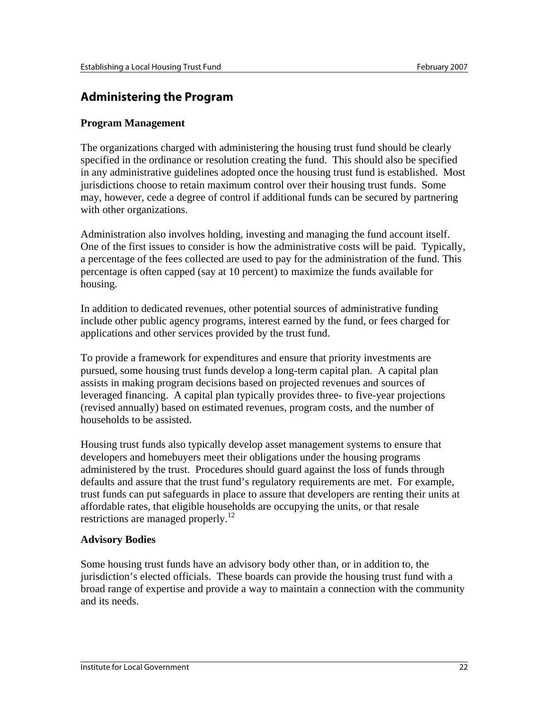## **Administering the Program**

### **Program Management**

The organizations charged with administering the housing trust fund should be clearly specified in the ordinance or resolution creating the fund. This should also be specified in any administrative guidelines adopted once the housing trust fund is established. Most jurisdictions choose to retain maximum control over their housing trust funds. Some may, however, cede a degree of control if additional funds can be secured by partnering with other organizations.

Administration also involves holding, investing and managing the fund account itself. One of the first issues to consider is how the administrative costs will be paid. Typically, a percentage of the fees collected are used to pay for the administration of the fund. This percentage is often capped (say at 10 percent) to maximize the funds available for housing.

In addition to dedicated revenues, other potential sources of administrative funding include other public agency programs, interest earned by the fund, or fees charged for applications and other services provided by the trust fund.

To provide a framework for expenditures and ensure that priority investments are pursued, some housing trust funds develop a long-term capital plan. A capital plan assists in making program decisions based on projected revenues and sources of leveraged financing. A capital plan typically provides three- to five-year projections (revised annually) based on estimated revenues, program costs, and the number of households to be assisted.

Housing trust funds also typically develop asset management systems to ensure that developers and homebuyers meet their obligations under the housing programs administered by the trust. Procedures should guard against the loss of funds through defaults and assure that the trust fund's regulatory requirements are met. For example, trust funds can put safeguards in place to assure that developers are renting their units at affordable rates, that eligible households are occupying the units, or that resale restrictions are managed properly.<sup>12</sup>

### **Advisory Bodies**

Some housing trust funds have an advisory body other than, or in addition to, the jurisdiction's elected officials. These boards can provide the housing trust fund with a broad range of expertise and provide a way to maintain a connection with the community and its needs.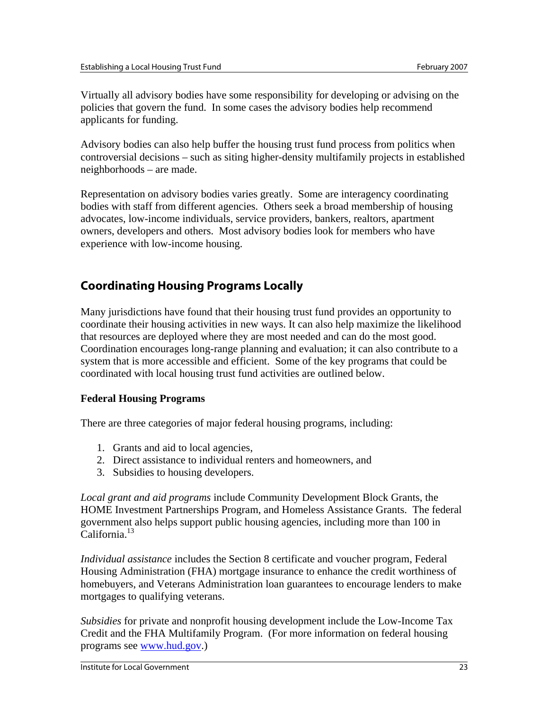Virtually all advisory bodies have some responsibility for developing or advising on the policies that govern the fund. In some cases the advisory bodies help recommend applicants for funding.

Advisory bodies can also help buffer the housing trust fund process from politics when controversial decisions – such as siting higher-density multifamily projects in established neighborhoods – are made.

Representation on advisory bodies varies greatly. Some are interagency coordinating bodies with staff from different agencies. Others seek a broad membership of housing advocates, low-income individuals, service providers, bankers, realtors, apartment owners, developers and others. Most advisory bodies look for members who have experience with low-income housing.

## **Coordinating Housing Programs Locally**

Many jurisdictions have found that their housing trust fund provides an opportunity to coordinate their housing activities in new ways. It can also help maximize the likelihood that resources are deployed where they are most needed and can do the most good. Coordination encourages long-range planning and evaluation; it can also contribute to a system that is more accessible and efficient. Some of the key programs that could be coordinated with local housing trust fund activities are outlined below.

## **Federal Housing Programs**

There are three categories of major federal housing programs, including:

- 1. Grants and aid to local agencies,
- 2. Direct assistance to individual renters and homeowners, and
- 3. Subsidies to housing developers.

*Local grant and aid programs* include Community Development Block Grants, the HOME Investment Partnerships Program, and Homeless Assistance Grants. The federal government also helps support public housing agencies, including more than 100 in California.13

*Individual assistance* includes the Section 8 certificate and voucher program, Federal Housing Administration (FHA) mortgage insurance to enhance the credit worthiness of homebuyers, and Veterans Administration loan guarantees to encourage lenders to make mortgages to qualifying veterans.

*Subsidies* for private and nonprofit housing development include the Low-Income Tax Credit and the FHA Multifamily Program. (For more information on federal housing programs see www.hud.gov.)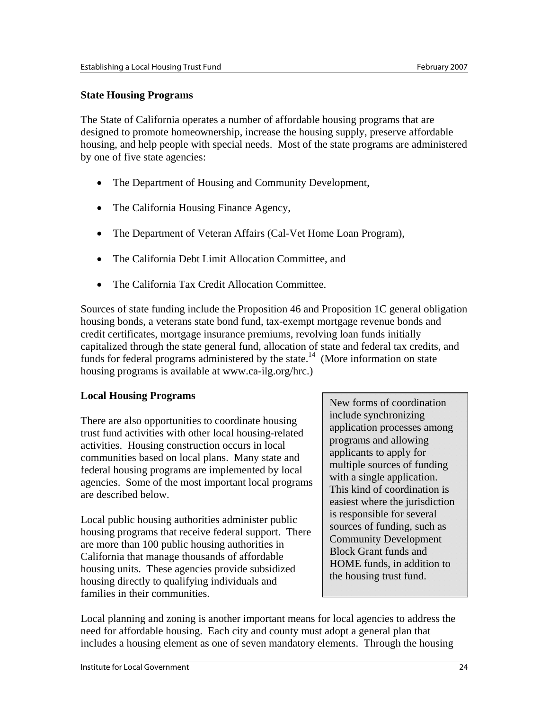### **State Housing Programs**

The State of California operates a number of affordable housing programs that are designed to promote homeownership, increase the housing supply, preserve affordable housing, and help people with special needs. Most of the state programs are administered by one of five state agencies:

- The Department of Housing and Community Development,
- The California Housing Finance Agency,
- The Department of Veteran Affairs (Cal-Vet Home Loan Program),
- The California Debt Limit Allocation Committee, and
- The California Tax Credit Allocation Committee.

Sources of state funding include the Proposition 46 and Proposition 1C general obligation housing bonds, a veterans state bond fund, tax-exempt mortgage revenue bonds and credit certificates, mortgage insurance premiums, revolving loan funds initially capitalized through the state general fund, allocation of state and federal tax credits, and funds for federal programs administered by the state.<sup>14</sup> (More information on state) housing programs is available at www.ca-ilg.org/hrc.)

## **Local Housing Programs**

There are also opportunities to coordinate housing trust fund activities with other local housing-related activities. Housing construction occurs in local communities based on local plans. Many state and federal housing programs are implemented by local agencies. Some of the most important local programs are described below.

Local public housing authorities administer public housing programs that receive federal support. There are more than 100 public housing authorities in California that manage thousands of affordable housing units. These agencies provide subsidized housing directly to qualifying individuals and families in their communities.

New forms of coordination include synchronizing application processes among programs and allowing applicants to apply for multiple sources of funding with a single application. This kind of coordination is easiest where the jurisdiction is responsible for several sources of funding, such as Community Development Block Grant funds and HOME funds, in addition to the housing trust fund.

Local planning and zoning is another important means for local agencies to address the need for affordable housing. Each city and county must adopt a general plan that includes a housing element as one of seven mandatory elements. Through the housing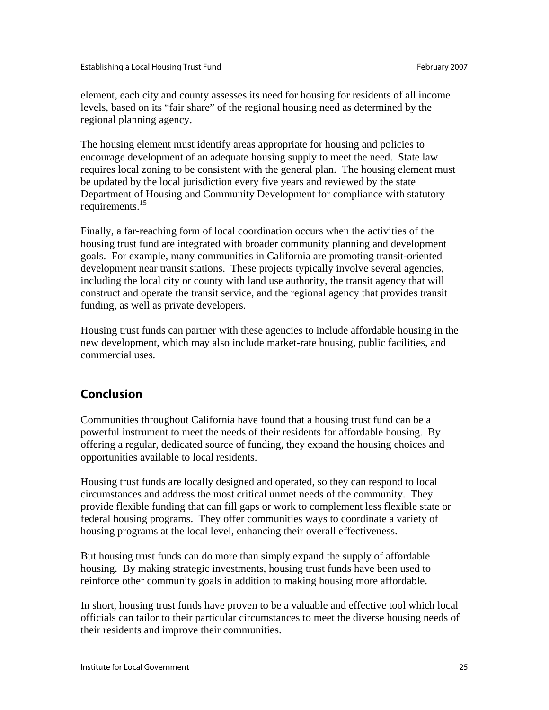element, each city and county assesses its need for housing for residents of all income levels, based on its "fair share" of the regional housing need as determined by the regional planning agency.

The housing element must identify areas appropriate for housing and policies to encourage development of an adequate housing supply to meet the need. State law requires local zoning to be consistent with the general plan. The housing element must be updated by the local jurisdiction every five years and reviewed by the state Department of Housing and Community Development for compliance with statutory requirements.15

Finally, a far-reaching form of local coordination occurs when the activities of the housing trust fund are integrated with broader community planning and development goals. For example, many communities in California are promoting transit-oriented development near transit stations. These projects typically involve several agencies, including the local city or county with land use authority, the transit agency that will construct and operate the transit service, and the regional agency that provides transit funding, as well as private developers.

Housing trust funds can partner with these agencies to include affordable housing in the new development, which may also include market-rate housing, public facilities, and commercial uses.

## **Conclusion**

Communities throughout California have found that a housing trust fund can be a powerful instrument to meet the needs of their residents for affordable housing. By offering a regular, dedicated source of funding, they expand the housing choices and opportunities available to local residents.

Housing trust funds are locally designed and operated, so they can respond to local circumstances and address the most critical unmet needs of the community. They provide flexible funding that can fill gaps or work to complement less flexible state or federal housing programs. They offer communities ways to coordinate a variety of housing programs at the local level, enhancing their overall effectiveness.

But housing trust funds can do more than simply expand the supply of affordable housing. By making strategic investments, housing trust funds have been used to reinforce other community goals in addition to making housing more affordable.

In short, housing trust funds have proven to be a valuable and effective tool which local officials can tailor to their particular circumstances to meet the diverse housing needs of their residents and improve their communities.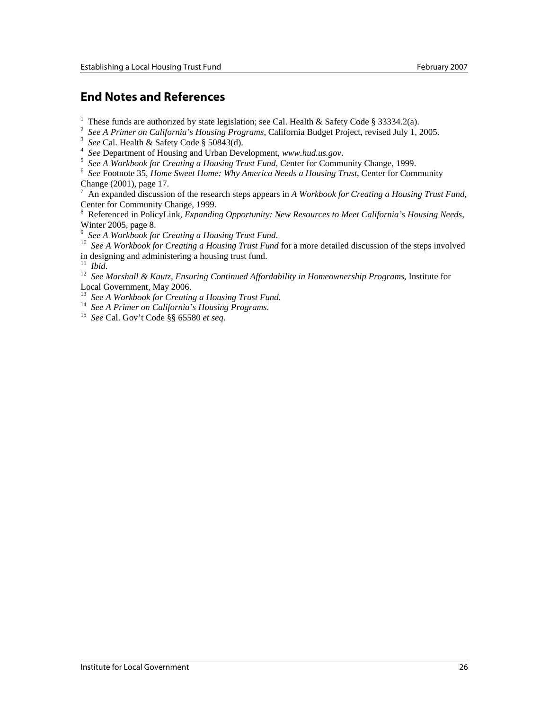## **End Notes and References**

<sup>1</sup> These funds are authorized by state legislation; see Cal. Health & Safety Code § 33334.2(a).

<sup>2</sup> See A Primer on California's Housing Programs, California Budget Project, revised July 1, 2005.

<sup>3</sup> See Cal. Health & Safety Code § 50843(d).

<sup>4</sup> See Department of Housing and Urban Development, *www.hud.us.gov.*<br><sup>5</sup> See A Warkbook for Creating a Housing Trust Fund. Contar for Community

*See A Workbook for Creating a Housing Trust Fund*, Center for Community Change, 1999.

 *See* Footnote 35, *Home Sweet Home: Why America Needs a Housing Trust*, Center for Community Change (2001), page 17.

7 An expanded discussion of the research steps appears in *A Workbook for Creating a Housing Trust Fund*, Center for Community Change, 1999.

8 Referenced in PolicyLink, *Expanding Opportunity: New Resources to Meet California's Housing Needs*, Winter 2005, page 8.<br> $9$  See A Workbook for Creating a Housing Trust Fund.

 $\overline{9}$ 

<sup>10</sup> See A Workbook for Creating a Housing Trust Fund for a more detailed discussion of the steps involved in designing and administering a housing trust fund.<br> $\frac{11 \text{ Ibid}}{11 \text{ Ibid}}$ 

<sup>12</sup> *See Marshall & Kautz, Ensuring Continued Affordability in Homeownership Programs*, Institute for Local Government, May 2006.<br><sup>13</sup> See A Workbook for Creating a Housing Trust Fund.

<sup>14</sup> See A Primer on California's Housing Programs.<br><sup>15</sup> See Cal. Gov't Code §§ 65580 *et seq.*